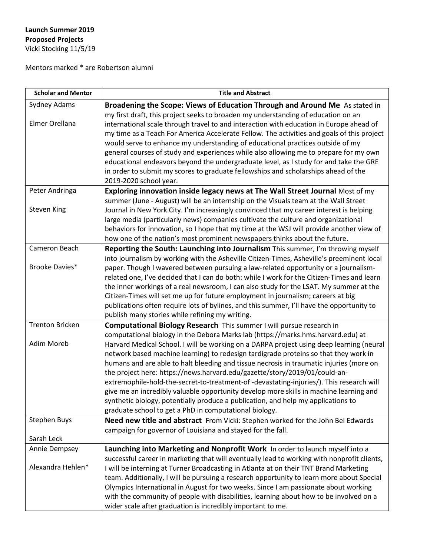## **Launch Summer 2019 Proposed Projects** Vicki Stocking 11/5/19

Mentors marked \* are Robertson alumni

| <b>Scholar and Mentor</b>            | <b>Title and Abstract</b>                                                                                                                                                                                                                                                                                                                                                                                                                                                                                                                                                                                                                                                                                                                                                                                                                                 |
|--------------------------------------|-----------------------------------------------------------------------------------------------------------------------------------------------------------------------------------------------------------------------------------------------------------------------------------------------------------------------------------------------------------------------------------------------------------------------------------------------------------------------------------------------------------------------------------------------------------------------------------------------------------------------------------------------------------------------------------------------------------------------------------------------------------------------------------------------------------------------------------------------------------|
| Sydney Adams                         | Broadening the Scope: Views of Education Through and Around Me As stated in                                                                                                                                                                                                                                                                                                                                                                                                                                                                                                                                                                                                                                                                                                                                                                               |
| Elmer Orellana                       | my first draft, this project seeks to broaden my understanding of education on an<br>international scale through travel to and interaction with education in Europe ahead of<br>my time as a Teach For America Accelerate Fellow. The activities and goals of this project<br>would serve to enhance my understanding of educational practices outside of my<br>general courses of study and experiences while also allowing me to prepare for my own<br>educational endeavors beyond the undergraduate level, as I study for and take the GRE<br>in order to submit my scores to graduate fellowships and scholarships ahead of the<br>2019-2020 school year.                                                                                                                                                                                            |
| Peter Andringa                       | Exploring innovation inside legacy news at The Wall Street Journal Most of my                                                                                                                                                                                                                                                                                                                                                                                                                                                                                                                                                                                                                                                                                                                                                                             |
| Steven King                          | summer (June - August) will be an internship on the Visuals team at the Wall Street<br>Journal in New York City. I'm increasingly convinced that my career interest is helping<br>large media (particularly news) companies cultivate the culture and organizational<br>behaviors for innovation, so I hope that my time at the WSJ will provide another view of<br>how one of the nation's most prominent newspapers thinks about the future.                                                                                                                                                                                                                                                                                                                                                                                                            |
| Cameron Beach                        | Reporting the South: Launching into Journalism This summer, I'm throwing myself                                                                                                                                                                                                                                                                                                                                                                                                                                                                                                                                                                                                                                                                                                                                                                           |
| Brooke Davies*                       | into journalism by working with the Asheville Citizen-Times, Asheville's preeminent local<br>paper. Though I wavered between pursuing a law-related opportunity or a journalism-<br>related one, I've decided that I can do both: while I work for the Citizen-Times and learn<br>the inner workings of a real newsroom, I can also study for the LSAT. My summer at the<br>Citizen-Times will set me up for future employment in journalism; careers at big<br>publications often require lots of bylines, and this summer, I'll have the opportunity to                                                                                                                                                                                                                                                                                                 |
|                                      | publish many stories while refining my writing.                                                                                                                                                                                                                                                                                                                                                                                                                                                                                                                                                                                                                                                                                                                                                                                                           |
| <b>Trenton Bricken</b><br>Adim Moreb | Computational Biology Research This summer I will pursue research in<br>computational biology in the Debora Marks lab (https://marks.hms.harvard.edu) at<br>Harvard Medical School. I will be working on a DARPA project using deep learning (neural<br>network based machine learning) to redesign tardigrade proteins so that they work in<br>humans and are able to halt bleeding and tissue necrosis in traumatic injuries (more on<br>the project here: https://news.harvard.edu/gazette/story/2019/01/could-an-<br>extremophile-hold-the-secret-to-treatment-of-devastating-injuries/). This research will<br>give me an incredibly valuable opportunity develop more skills in machine learning and<br>synthetic biology, potentially produce a publication, and help my applications to<br>graduate school to get a PhD in computational biology. |
| <b>Stephen Buys</b>                  | Need new title and abstract From Vicki: Stephen worked for the John Bel Edwards                                                                                                                                                                                                                                                                                                                                                                                                                                                                                                                                                                                                                                                                                                                                                                           |
| Sarah Leck                           | campaign for governor of Louisiana and stayed for the fall.                                                                                                                                                                                                                                                                                                                                                                                                                                                                                                                                                                                                                                                                                                                                                                                               |
| Annie Dempsey                        | Launching into Marketing and Nonprofit Work In order to launch myself into a                                                                                                                                                                                                                                                                                                                                                                                                                                                                                                                                                                                                                                                                                                                                                                              |
| Alexandra Hehlen*                    | successful career in marketing that will eventually lead to working with nonprofit clients,<br>I will be interning at Turner Broadcasting in Atlanta at on their TNT Brand Marketing<br>team. Additionally, I will be pursuing a research opportunity to learn more about Special<br>Olympics International in August for two weeks. Since I am passionate about working<br>with the community of people with disabilities, learning about how to be involved on a<br>wider scale after graduation is incredibly important to me.                                                                                                                                                                                                                                                                                                                         |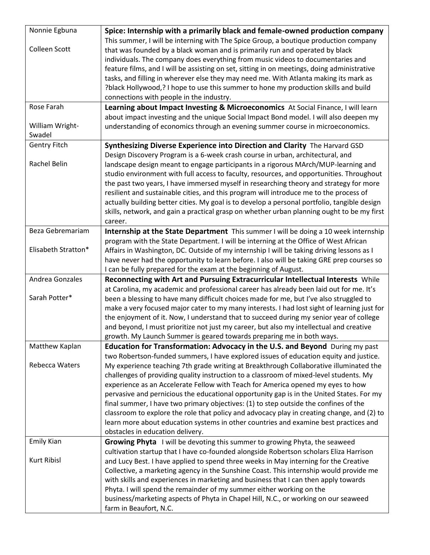| Nonnie Egbuna       | Spice: Internship with a primarily black and female-owned production company                                                                                                       |
|---------------------|------------------------------------------------------------------------------------------------------------------------------------------------------------------------------------|
|                     | This summer, I will be interning with The Spice Group, a boutique production company                                                                                               |
| Colleen Scott       | that was founded by a black woman and is primarily run and operated by black                                                                                                       |
|                     | individuals. The company does everything from music videos to documentaries and                                                                                                    |
|                     | feature films, and I will be assisting on set, sitting in on meetings, doing administrative                                                                                        |
|                     | tasks, and filling in wherever else they may need me. With Atlanta making its mark as                                                                                              |
|                     | ?black Hollywood,? I hope to use this summer to hone my production skills and build                                                                                                |
|                     | connections with people in the industry.                                                                                                                                           |
| Rose Farah          | Learning about Impact Investing & Microeconomics At Social Finance, I will learn                                                                                                   |
|                     | about impact investing and the unique Social Impact Bond model. I will also deepen my                                                                                              |
| William Wright-     | understanding of economics through an evening summer course in microeconomics.                                                                                                     |
| Swadel              |                                                                                                                                                                                    |
| <b>Gentry Fitch</b> | Synthesizing Diverse Experience into Direction and Clarity The Harvard GSD                                                                                                         |
|                     | Design Discovery Program is a 6-week crash course in urban, architectural, and                                                                                                     |
| Rachel Belin        | landscape design meant to engage participants in a rigorous MArch/MUP-learning and                                                                                                 |
|                     | studio environment with full access to faculty, resources, and opportunities. Throughout                                                                                           |
|                     | the past two years, I have immersed myself in researching theory and strategy for more                                                                                             |
|                     | resilient and sustainable cities, and this program will introduce me to the process of                                                                                             |
|                     | actually building better cities. My goal is to develop a personal portfolio, tangible design                                                                                       |
|                     | skills, network, and gain a practical grasp on whether urban planning ought to be my first                                                                                         |
|                     | career.                                                                                                                                                                            |
| Beza Gebremariam    | Internship at the State Department This summer I will be doing a 10 week internship                                                                                                |
|                     | program with the State Department. I will be interning at the Office of West African                                                                                               |
| Elisabeth Stratton* | Affairs in Washington, DC. Outside of my internship I will be taking driving lessons as I                                                                                          |
|                     | have never had the opportunity to learn before. I also will be taking GRE prep courses so                                                                                          |
|                     | I can be fully prepared for the exam at the beginning of August.                                                                                                                   |
| Andrea Gonzales     | Reconnecting with Art and Pursuing Extracurricular Intellectual Interests While                                                                                                    |
| Sarah Potter*       | at Carolina, my academic and professional career has already been laid out for me. It's                                                                                            |
|                     | been a blessing to have many difficult choices made for me, but I've also struggled to                                                                                             |
|                     | make a very focused major cater to my many interests. I had lost sight of learning just for                                                                                        |
|                     | the enjoyment of it. Now, I understand that to succeed during my senior year of college<br>and beyond, I must prioritize not just my career, but also my intellectual and creative |
|                     | growth. My Launch Summer is geared towards preparing me in both ways.                                                                                                              |
| Matthew Kaplan      | <b>Education for Transformation: Advocacy in the U.S. and Beyond</b> During my past                                                                                                |
|                     | two Robertson-funded summers, I have explored issues of education equity and justice.                                                                                              |
| Rebecca Waters      | My experience teaching 7th grade writing at Breakthrough Collaborative illuminated the                                                                                             |
|                     | challenges of providing quality instruction to a classroom of mixed-level students. My                                                                                             |
|                     | experience as an Accelerate Fellow with Teach for America opened my eyes to how                                                                                                    |
|                     | pervasive and pernicious the educational opportunity gap is in the United States. For my                                                                                           |
|                     | final summer, I have two primary objectives: (1) to step outside the confines of the                                                                                               |
|                     | classroom to explore the role that policy and advocacy play in creating change, and (2) to                                                                                         |
|                     | learn more about education systems in other countries and examine best practices and                                                                                               |
|                     | obstacles in education delivery.                                                                                                                                                   |
| <b>Emily Kian</b>   | Growing Phyta I will be devoting this summer to growing Phyta, the seaweed                                                                                                         |
|                     | cultivation startup that I have co-founded alongside Robertson scholars Eliza Harrison                                                                                             |
| <b>Kurt Ribisl</b>  | and Lucy Best. I have applied to spend three weeks in May interning for the Creative                                                                                               |
|                     | Collective, a marketing agency in the Sunshine Coast. This internship would provide me                                                                                             |
|                     | with skills and experiences in marketing and business that I can then apply towards                                                                                                |
|                     | Phyta. I will spend the remainder of my summer either working on the                                                                                                               |
|                     | business/marketing aspects of Phyta in Chapel Hill, N.C., or working on our seaweed                                                                                                |
|                     | farm in Beaufort, N.C.                                                                                                                                                             |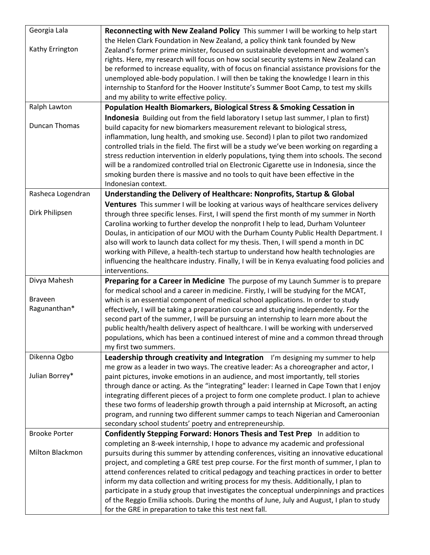| Georgia Lala         | Reconnecting with New Zealand Policy This summer I will be working to help start              |
|----------------------|-----------------------------------------------------------------------------------------------|
|                      | the Helen Clark Foundation in New Zealand, a policy think tank founded by New                 |
| Kathy Errington      | Zealand's former prime minister, focused on sustainable development and women's               |
|                      | rights. Here, my research will focus on how social security systems in New Zealand can        |
|                      | be reformed to increase equality, with of focus on financial assistance provisions for the    |
|                      | unemployed able-body population. I will then be taking the knowledge I learn in this          |
|                      | internship to Stanford for the Hoover Institute's Summer Boot Camp, to test my skills         |
|                      | and my ability to write effective policy.                                                     |
| Ralph Lawton         | Population Health Biomarkers, Biological Stress & Smoking Cessation in                        |
|                      | Indonesia Building out from the field laboratory I setup last summer, I plan to first)        |
| <b>Duncan Thomas</b> | build capacity for new biomarkers measurement relevant to biological stress,                  |
|                      | inflammation, lung health, and smoking use. Second) I plan to pilot two randomized            |
|                      | controlled trials in the field. The first will be a study we've been working on regarding a   |
|                      | stress reduction intervention in elderly populations, tying them into schools. The second     |
|                      | will be a randomized controlled trial on Electronic Cigarette use in Indonesia, since the     |
|                      | smoking burden there is massive and no tools to quit have been effective in the               |
|                      | Indonesian context.                                                                           |
| Rasheca Logendran    | Understanding the Delivery of Healthcare: Nonprofits, Startup & Global                        |
|                      | Ventures This summer I will be looking at various ways of healthcare services delivery        |
| Dirk Philipsen       | through three specific lenses. First, I will spend the first month of my summer in North      |
|                      | Carolina working to further develop the nonprofit I help to lead, Durham Volunteer            |
|                      | Doulas, in anticipation of our MOU with the Durham County Public Health Department. I         |
|                      | also will work to launch data collect for my thesis. Then, I will spend a month in DC         |
|                      | working with Pilleve, a health-tech startup to understand how health technologies are         |
|                      | influencing the healthcare industry. Finally, I will be in Kenya evaluating food policies and |
|                      | interventions.                                                                                |
| Divya Mahesh         | Preparing for a Career in Medicine The purpose of my Launch Summer is to prepare              |
|                      | for medical school and a career in medicine. Firstly, I will be studying for the MCAT,        |
| <b>Braveen</b>       | which is an essential component of medical school applications. In order to study             |
| Ragunanthan*         | effectively, I will be taking a preparation course and studying independently. For the        |
|                      | second part of the summer, I will be pursuing an internship to learn more about the           |
|                      | public health/health delivery aspect of healthcare. I will be working with underserved        |
|                      | populations, which has been a continued interest of mine and a common thread through          |
|                      | my first two summers.                                                                         |
| Dikenna Ogbo         | Leadership through creativity and Integration I'm designing my summer to help                 |
|                      | me grow as a leader in two ways. The creative leader: As a choreographer and actor, I         |
| Julian Borrey*       | paint pictures, invoke emotions in an audience, and most importantly, tell stories            |
|                      | through dance or acting. As the "integrating" leader: I learned in Cape Town that I enjoy     |
|                      | integrating different pieces of a project to form one complete product. I plan to achieve     |
|                      | these two forms of leadership growth through a paid internship at Microsoft, an acting        |
|                      | program, and running two different summer camps to teach Nigerian and Cameroonian             |
|                      | secondary school students' poetry and entrepreneurship.                                       |
| <b>Brooke Porter</b> | Confidently Stepping Forward: Honors Thesis and Test Prep In addition to                      |
|                      | completing an 8-week internship, I hope to advance my academic and professional               |
| Milton Blackmon      | pursuits during this summer by attending conferences, visiting an innovative educational      |
|                      | project, and completing a GRE test prep course. For the first month of summer, I plan to      |
|                      | attend conferences related to critical pedagogy and teaching practices in order to better     |
|                      | inform my data collection and writing process for my thesis. Additionally, I plan to          |
|                      | participate in a study group that investigates the conceptual underpinnings and practices     |
|                      | of the Reggio Emilia schools. During the months of June, July and August, I plan to study     |
|                      | for the GRE in preparation to take this test next fall.                                       |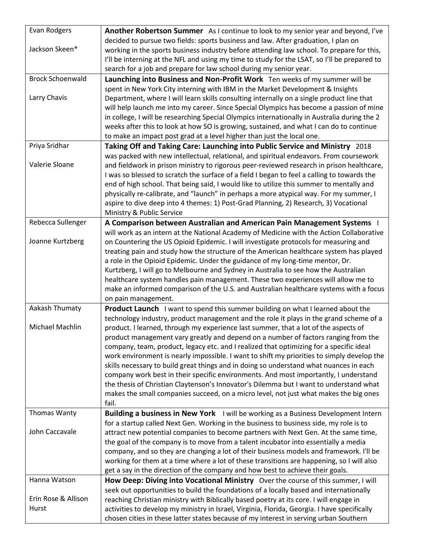| Evan Rodgers            | Another Robertson Summer As I continue to look to my senior year and beyond, I've            |
|-------------------------|----------------------------------------------------------------------------------------------|
|                         | decided to pursue two fields: sports business and law. After graduation, I plan on           |
| Jackson Skeen*          | working in the sports business industry before attending law school. To prepare for this,    |
|                         | I'll be interning at the NFL and using my time to study for the LSAT, so I'll be prepared to |
|                         | search for a job and prepare for law school during my senior year.                           |
| <b>Brock Schoenwald</b> | Launching into Business and Non-Profit Work Ten weeks of my summer will be                   |
|                         | spent in New York City interning with IBM in the Market Development & Insights               |
| Larry Chavis            | Department, where I will learn skills consulting internally on a single product line that    |
|                         | will help launch me into my career. Since Special Olympics has become a passion of mine      |
|                         | in college, I will be researching Special Olympics internationally in Australia during the 2 |
|                         | weeks after this to look at how SO is growing, sustained, and what I can do to continue      |
|                         | to make an impact post grad at a level higher than just the local one.                       |
| Priya Sridhar           | Taking Off and Taking Care: Launching into Public Service and Ministry 2018                  |
|                         | was packed with new intellectual, relational, and spiritual endeavors. From coursework       |
| Valerie Sloane          | and fieldwork in prison ministry to rigorous peer-reviewed research in prison healthcare,    |
|                         | I was so blessed to scratch the surface of a field I began to feel a calling to towards the  |
|                         | end of high school. That being said, I would like to utilize this summer to mentally and     |
|                         | physically re-calibrate, and "launch" in perhaps a more atypical way. For my summer, I       |
|                         | aspire to dive deep into 4 themes: 1) Post-Grad Planning, 2) Research, 3) Vocational         |
|                         | Ministry & Public Service                                                                    |
| Rebecca Sullenger       | A Comparison between Australian and American Pain Management Systems                         |
|                         | will work as an intern at the National Academy of Medicine with the Action Collaborative     |
| Joanne Kurtzberg        | on Countering the US Opioid Epidemic. I will investigate protocols for measuring and         |
|                         | treating pain and study how the structure of the American healthcare system has played       |
|                         | a role in the Opioid Epidemic. Under the guidance of my long-time mentor, Dr.                |
|                         | Kurtzberg, I will go to Melbourne and Sydney in Australia to see how the Australian          |
|                         | healthcare system handles pain management. These two experiences will allow me to            |
|                         | make an informed comparison of the U.S. and Australian healthcare systems with a focus       |
|                         | on pain management.                                                                          |
| Aakash Thumaty          | Product Launch I want to spend this summer building on what I learned about the              |
|                         | technology industry, product management and the role it plays in the grand scheme of a       |
| Michael Machlin         | product. I learned, through my experience last summer, that a lot of the aspects of          |
|                         | product management vary greatly and depend on a number of factors ranging from the           |
|                         | company, team, product, legacy etc. and I realized that optimizing for a specific ideal      |
|                         | work environment is nearly impossible. I want to shift my priorities to simply develop the   |
|                         | skills necessary to build great things and in doing so understand what nuances in each       |
|                         | company work best in their specific environments. And most importantly, I understand         |
|                         | the thesis of Christian Claytenson's Innovator's Dilemma but I want to understand what       |
|                         | makes the small companies succeed, on a micro level, not just what makes the big ones        |
|                         | fail.                                                                                        |
| Thomas Wanty            | Building a business in New York I will be working as a Business Development Intern           |
|                         | for a startup called Next Gen. Working in the business to business side, my role is to       |
| John Caccavale          | attract new potential companies to become partners with Next Gen. At the same time,          |
|                         | the goal of the company is to move from a talent incubator into essentially a media          |
|                         | company, and so they are changing a lot of their business models and framework. I'll be      |
|                         | working for them at a time where a lot of these transitions are happening, so I will also    |
|                         | get a say in the direction of the company and how best to achieve their goals.               |
| Hanna Watson            | How Deep: Diving into Vocational Ministry Over the course of this summer, I will             |
|                         | seek out opportunities to build the foundations of a locally based and internationally       |
| Erin Rose & Allison     | reaching Christian ministry with Biblically based poetry at its core. I will engage in       |
| Hurst                   | activities to develop my ministry in Israel, Virginia, Florida, Georgia. I have specifically |
|                         | chosen cities in these latter states because of my interest in serving urban Southern        |